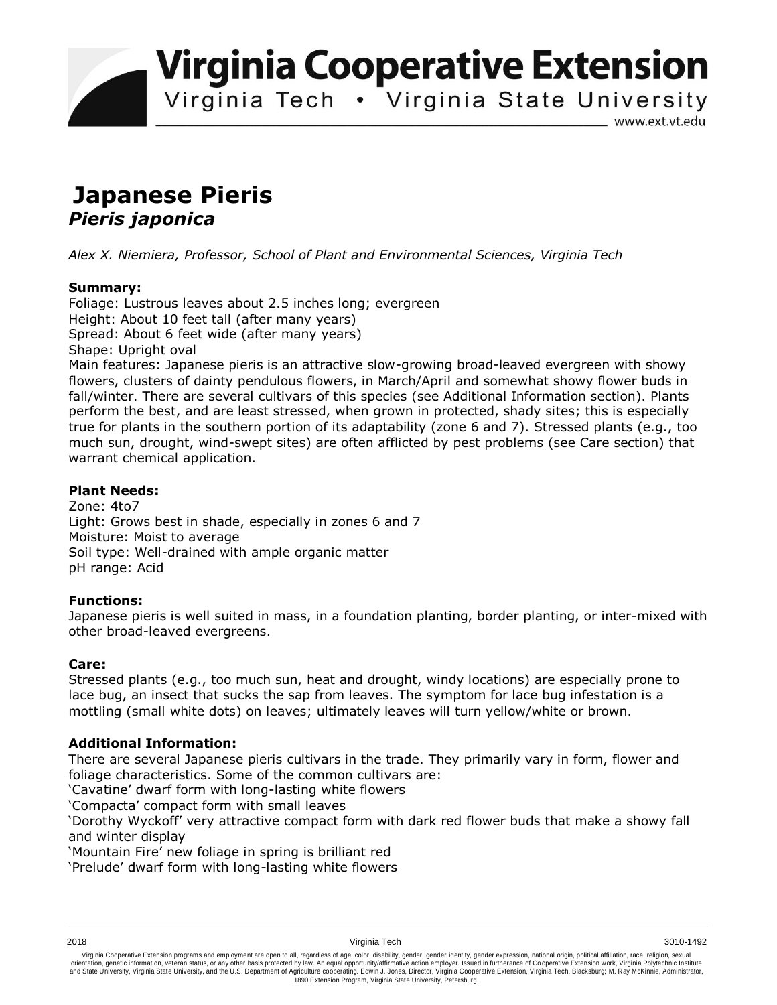**Virginia Cooperative Extension** 

Virginia Tech . Virginia State University

www.ext.vt.edu

# **Japanese Pieris**  *Pieris japonica*

*Alex X. Niemiera, Professor, School of Plant and Environmental Sciences, Virginia Tech*

## **Summary:**

Foliage: Lustrous leaves about 2.5 inches long; evergreen Height: About 10 feet tall (after many years) Spread: About 6 feet wide (after many years) Shape: Upright oval Main features: Japanese pieris is an attractive slow-growing broad-leaved evergreen with showy

flowers, clusters of dainty pendulous flowers, in March/April and somewhat showy flower buds in fall/winter. There are several cultivars of this species (see Additional Information section). Plants perform the best, and are least stressed, when grown in protected, shady sites; this is especially true for plants in the southern portion of its adaptability (zone 6 and 7). Stressed plants (e.g., too much sun, drought, wind-swept sites) are often afflicted by pest problems (see Care section) that warrant chemical application.

## **Plant Needs:**

Zone: 4to7 Light: Grows best in shade, especially in zones 6 and 7 Moisture: Moist to average Soil type: Well-drained with ample organic matter pH range: Acid

## **Functions:**

Japanese pieris is well suited in mass, in a foundation planting, border planting, or inter-mixed with other broad-leaved evergreens.

## **Care:**

Stressed plants (e.g., too much sun, heat and drought, windy locations) are especially prone to lace bug, an insect that sucks the sap from leaves. The symptom for lace bug infestation is a mottling (small white dots) on leaves; ultimately leaves will turn yellow/white or brown.

## **Additional Information:**

There are several Japanese pieris cultivars in the trade. They primarily vary in form, flower and foliage characteristics. Some of the common cultivars are:

'Cavatine' dwarf form with long-lasting white flowers

'Compacta' compact form with small leaves

'Dorothy Wyckoff' very attractive compact form with dark red flower buds that make a showy fall and winter display

'Mountain Fire' new foliage in spring is brilliant red

'Prelude' dwarf form with long-lasting white flowers